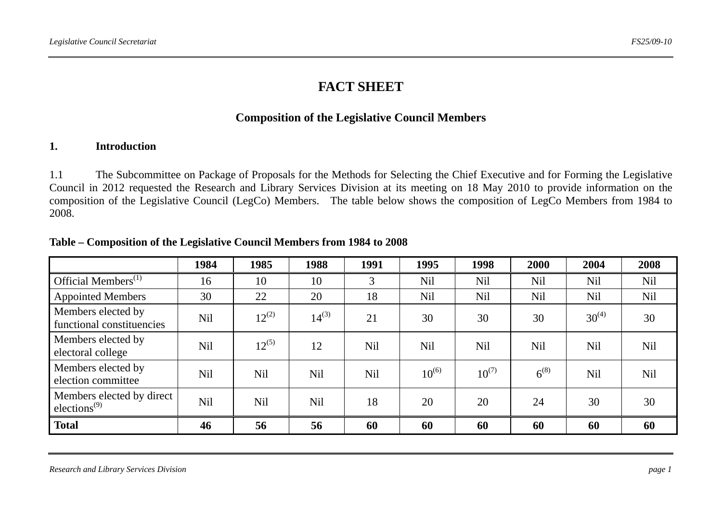# **FACT SHEET**

## **Composition of the Legislative Council Members**

## **1. Introduction**

1.1 The Subcommittee on Package of Proposals for the Methods for Selecting the Chief Executive and for Forming the Legislative Council in 2012 requested the Research and Library Services Division at its meeting on 18 May 2010 to provide information on the composition of the Legislative Council (LegCo) Members. The table below shows the composition of LegCo Members from 1984 to 2008.

|                                                                    | 1984       | 1985            | 1988            | 1991       | 1995       | 1998       | 2000       | 2004       | 2008       |
|--------------------------------------------------------------------|------------|-----------------|-----------------|------------|------------|------------|------------|------------|------------|
| Official Members <sup>(1)</sup>                                    | 16         | 10              | 10              | 3          | <b>Nil</b> | <b>Nil</b> | Nil        | <b>Nil</b> | <b>Nil</b> |
| <b>Appointed Members</b>                                           | 30         | 22              | 20              | 18         | <b>Nil</b> | <b>Nil</b> | <b>Nil</b> | <b>Nil</b> | Nil        |
| Members elected by<br>functional constituencies                    | Nil        | $12^{(2)}$      | $14^{(3)}$      | 21         | 30         | 30         | 30         | $30^{(4)}$ | 30         |
| Members elected by<br>electoral college                            | <b>Nil</b> | $12^{(5)}$      | 12              | Nil        | <b>Nil</b> | <b>Nil</b> | <b>Nil</b> | <b>Nil</b> | <b>Nil</b> |
| Members elected by<br>election committee                           | <b>Nil</b> | N <sub>il</sub> | N <sub>il</sub> | <b>Nil</b> | $10^{(6)}$ | $10^{(7)}$ | $6^{(8)}$  | <b>Nil</b> | <b>Nil</b> |
| Members elected by direct<br>elections <sup><math>(9)</math></sup> | <b>Nil</b> | N <sub>il</sub> | <b>Nil</b>      | 18         | 20         | 20         | 24         | 30         | 30         |
| <b>Total</b>                                                       | 46         | 56              | 56              | 60         | 60         | 60         | 60         | 60         | 60         |

#### **Table – Composition of the Legislative Council Members from 1984 to 2008**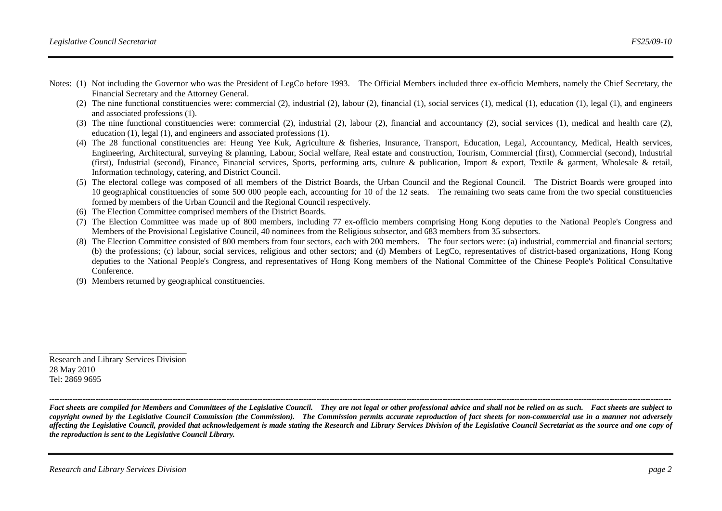- Notes: (1) Not including the Governor who was the President of LegCo before 1993. The Official Members included three ex-officio Members, namely the Chief Secretary, the Financial Secretary and the Attorney General.
	- (2) The nine functional constituencies were: commercial (2), industrial (2), labour (2), financial (1), social services (1), medical (1), education (1), legal (1), and engineers and associated professions (1).
	- (3) The nine functional constituencies were: commercial (2), industrial (2), labour (2), financial and accountancy (2), social services (1), medical and health care (2), education (1), legal (1), and engineers and associated professions (1).
	- (4) The 28 functional constituencies are: Heung Yee Kuk, Agriculture & fisheries, Insurance, Transport, Education, Legal, Accountancy, Medical, Health services, Engineering, Architectural, surveying & planning, Labour, Social welfare, Real estate and construction, Tourism, Commercial (first), Commercial (second), Industrial (first), Industrial (second), Finance, Financial services, Sports, performing arts, culture & publication, Import & export, Textile & garment, Wholesale & retail, Information technology, catering, and District Council.
	- (5) The electoral college was composed of all members of the District Boards, the Urban Council and the Regional Council. The District Boards were grouped into 10 geographical constituencies of some 500 000 people each, accounting for 10 of the 12 seats. The remaining two seats came from the two special constituencies formed by members of the Urban Council and the Regional Council respectively.
	- (6) The Election Committee comprised members of the District Boards.
	- (7) The Election Committee was made up of 800 members, including 77 ex-officio members comprising Hong Kong deputies to the National People's Congress and Members of the Provisional Legislative Council, 40 nominees from the Religious subsector, and 683 members from 35 subsectors.
	- (8) The Election Committee consisted of 800 members from four sectors, each with 200 members. The four sectors were: (a) industrial, commercial and financial sectors; (b) the professions; (c) labour, social services, religious and other sectors; and (d) Members of LegCo, representatives of district-based organizations, Hong Kong deputies to the National People's Congress, and representatives of Hong Kong members of the National Committee of the Chinese People's Political Consultative Conference.
	- (9) Members returned by geographical constituencies.

Research and Library Services Division 28 May 2010 Tel: 2869 9695

*Fact sheets are compiled for Members and Committees of the Legislative Council. They are not legal or other professional advice and shall not be relied on as such. Fact sheets are subject to copyright owned by the Legislative Council Commission (the Commission). The Commission permits accurate reproduction of fact sheets for non-commercial use in a manner not adversely affecting the Legislative Council, provided that acknowledgement is made stating the Research and Library Services Division of the Legislative Council Secretariat as the source and one copy of the reproduction is sent to the Legislative Council Library.*

*--------------------------------------------------------------------------------------------------------------------------------------------------------------------------------------------------------------------------------------------------*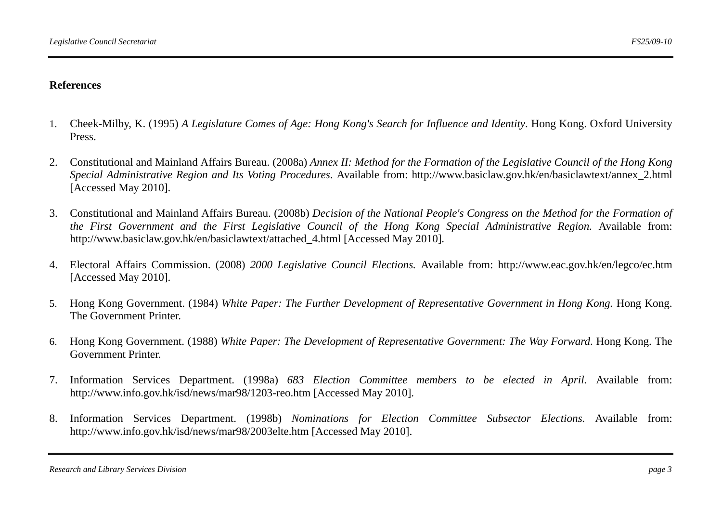### **References**

- 1. Cheek-Milby, K. (1995) *A Legislature Comes of Age: Hong Kong's Search for Influence and Identity*. Hong Kong. Oxford University Press.
- 2. Constitutional and Mainland Affairs Bureau. (2008a) *Annex II: Method for the Formation of the Legislative Council of the Hong Kong Special Administrative Region and Its Voting Procedures*. Available from: http://www.basiclaw.gov.hk/en/basiclawtext/annex\_2.html [Accessed May 2010].
- 3. Constitutional and Mainland Affairs Bureau. (2008b) *Decision of the National People's Congress on the Method for the Formation of the First Government and the First Legislative Council of the Hong Kong Special Administrative Region.* Available from: http://www.basiclaw.gov.hk/en/basiclawtext/attached\_4.html [Accessed May 2010].
- 4. Electoral Affairs Commission. (2008) *2000 Legislative Council Elections.* Available from: http://www.eac.gov.hk/en/legco/ec.htm [Accessed May 2010].
- 5. Hong Kong Government. (1984) *White Paper: The Further Development of Representative Government in Hong Kong.* Hong Kong. The Government Printer.
- 6. Hong Kong Government. (1988) *White Paper: The Development of Representative Government: The Way Forward*. Hong Kong. The Government Printer.
- 7. Information Services Department. (1998a) *683 Election Committee members to be elected in April.* Available from: http://www.info.gov.hk/isd/news/mar98/1203-reo.htm [Accessed May 2010].
- 8. Information Services Department. (1998b) *Nominations for Election Committee Subsector Elections.* Available from: http://www.info.gov.hk/isd/news/mar98/2003elte.htm [Accessed May 2010].